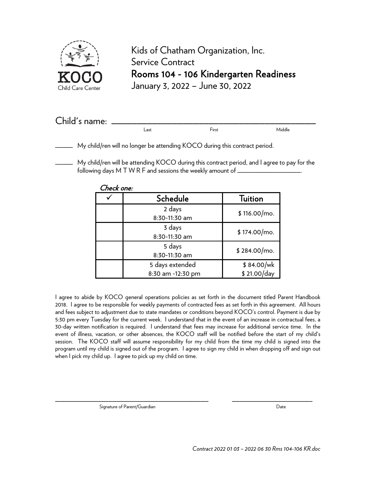

Kids of Chatham Organization, Inc. Service Contract Rooms 104 - 106 Kindergarten Readiness January 3, 2022 – June 30, 2022

| Child's name: |      |       |        |
|---------------|------|-------|--------|
|               | Last | First | Middle |

\_\_\_\_\_ My child/ren will no longer be attending KOCO during this contract period.

\_\_\_\_\_ My child/ren will be attending KOCO during this contract period, and I agree to pay for the following days M T W R F and sessions the weekly amount of \_\_\_\_\_\_\_\_\_\_\_\_\_\_\_\_\_\_\_\_\_.

| Check one: |                                      |                           |
|------------|--------------------------------------|---------------------------|
|            | Schedule                             | <b>Tuition</b>            |
|            | 2 days<br>8:30-11:30 am              | $$116.00/mol$ .           |
|            | 3 days<br>8:30-11:30 am              | \$174.00/mo.              |
|            | 5 days<br>8:30-11:30 am              | \$284.00/mo.              |
|            | 5 days extended<br>8:30 am -12:30 pm | \$84.00/wk<br>\$21.00/day |

I agree to abide by KOCO general operations policies as set forth in the document titled Parent Handbook 2018. I agree to be responsible for weekly payments of contracted fees as set forth in this agreement. All hours and fees subject to adjustment due to state mandates or conditions beyond KOCO's control. Payment is due by 5:30 pm every Tuesday for the current week. I understand that in the event of an increase in contractual fees, a 30-day written notification is required. I understand that fees may increase for additional service time. In the event of illness, vacation, or other absences, the KOCO staff will be notified before the start of my child's session. The KOCO staff will assume responsibility for my child from the time my child is signed into the program until my child is signed out of the program. I agree to sign my child in when dropping off and sign out when I pick my child up. I agree to pick up my child on time.

\_\_\_\_\_\_\_\_\_\_\_\_\_\_\_\_\_\_\_\_\_\_\_\_\_\_\_\_\_\_\_\_\_\_\_\_\_\_\_\_ \_\_\_\_\_\_\_\_\_\_\_\_\_\_\_\_\_\_\_\_\_

Signature of Parent/Guardian Date Date Date Date Date